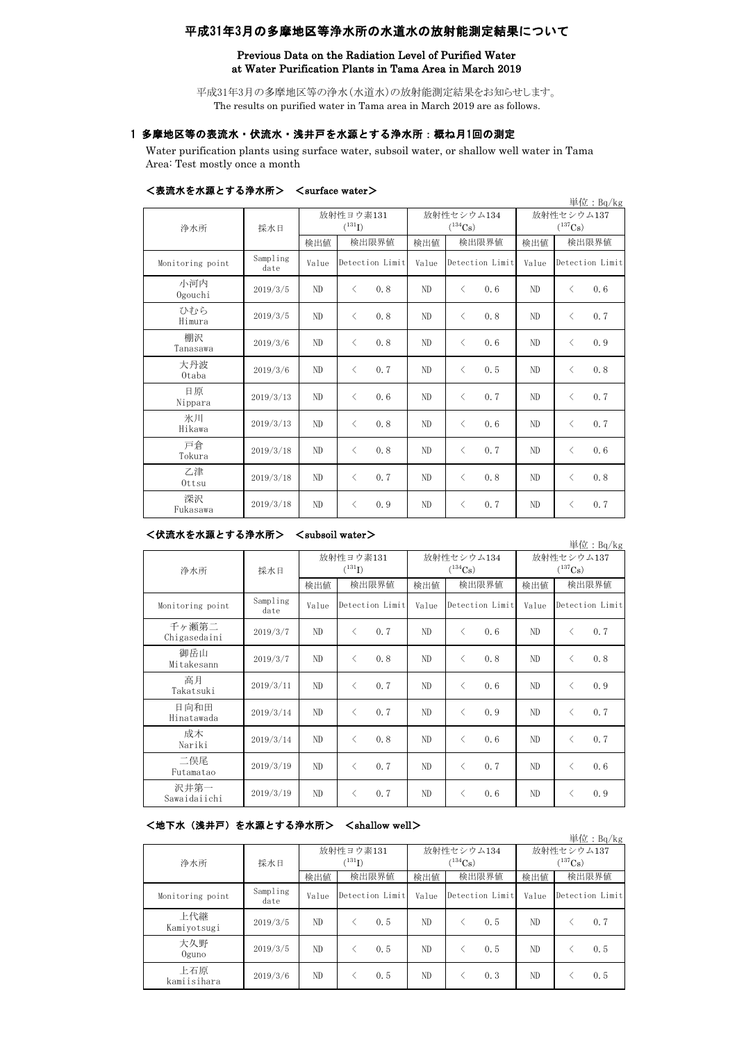# 平成31年3月の多摩地区等浄水所の水道水の放射能測定結果について

## Previous Data on the Radiation Level of Purified Water at Water Purification Plants in Tama Area in March 2019

平成31年3月の多摩地区等の浄水(水道水)の放射能測定結果をお知らせします。 The results on purified water in Tama area in March 2019 are as follows.

# 1 多摩地区等の表流水・伏流水・浅井戸を水源とする浄水所:概ね月1回の測定

Water purification plants using surface water, subsoil water, or shallow well water in Tama Area: Test mostly once a month

|                  |                  |                          |                  |                            |                   |                            | 単位: $Bq/kg$       |
|------------------|------------------|--------------------------|------------------|----------------------------|-------------------|----------------------------|-------------------|
| 浄水所              | 採水日              | 放射性ヨウ素131<br>$(^{131}I)$ |                  | 放射性セシウム134<br>$(^{134}Cs)$ |                   | 放射性セシウム137<br>$(^{137}Cs)$ |                   |
|                  |                  | 検出値                      | 検出限界値            | 検出値                        | 検出限界値             | 検出値                        | 検出限界値             |
| Monitoring point | Sampling<br>date | Value                    | Detection Limit  | Value                      | Detection Limit   | Value                      | Detection Limit   |
| 小河内<br>Ogouchi   | 2019/3/5         | ND                       | $\langle$<br>0.8 | N <sub>D</sub>             | $\langle$<br>0.6  | N <sub>D</sub>             | $\langle$<br>0, 6 |
| ひむら<br>Himura    | 2019/3/5         | ND                       | $\langle$<br>0.8 | N <sub>D</sub>             | $\langle$<br>0.8  | ND                         | 0.7<br>$\langle$  |
| 棚沢<br>Tanasawa   | 2019/3/6         | ND                       | $\langle$<br>0.8 | ND                         | $\langle$<br>0, 6 | ND                         | 0.9<br>$\langle$  |
| 大丹波<br>Otaba     | 2019/3/6         | ND                       | $\langle$<br>0.7 | ND                         | $\langle$<br>0.5  | ND                         | 0.8<br>$\langle$  |
| 日原<br>Nippara    | 2019/3/13        | ND                       | $\langle$<br>0.6 | ND                         | 0.7<br>$\langle$  | ND                         | 0.7<br>$\langle$  |
| 氷川<br>Hikawa     | 2019/3/13        | ND                       | 0.8<br>$\langle$ | N <sub>D</sub>             | 0.6<br>$\langle$  | N <sub>D</sub>             | 0.7<br>$\langle$  |
| 戸倉<br>Tokura     | 2019/3/18        | ND                       | 0.8<br>$\langle$ | ND                         | $\langle$<br>0.7  | ND.                        | 0.6<br>$\langle$  |
| 乙津<br>Ottsu      | 2019/3/18        | ND                       | 0.7<br>$\langle$ | N <sub>D</sub>             | $\langle$<br>0.8  | N <sub>D</sub>             | 0.8<br>$\langle$  |
| 深沢<br>Fukasawa   | 2019/3/18        | ND                       | 0.9<br>$\langle$ | ND                         | 0.7<br>$\langle$  | N <sub>D</sub>             | 0.7<br>$\langle$  |

### <表流水を水源とする浄水所> <surface water>

#### <伏流水を水源とする浄水所> <subsoil water>

単位:Bq/kg 検出値 検出限界値 検出限界値 検出値 Monitoring point Sampling<br>date mpiing | Value |Detection Limit | Value |Detection Limit | Value 千ヶ瀬第二 Chigasedaini 2019/3/7 ND <sup>&</sup>lt; 0.7 ND <sup>&</sup>lt; 0.6 ND <sup>&</sup>lt; 0.7 御岳山<br>Mitakesann ੀ<sup>ਆ ਜਾਮ</sup> ਮਾਰਜ਼ਮ 2019/3/7 | ND | < 0.8 | ND | < 0.8 | ND | < 0.8<br>Mitakesann | 2019/3/7 | ND | < 0.8 | ND | < 0.8 高月  $T_{\rm 2019}$  and  $T_{\rm 2019}$ /3/11 ND  $\sim$  0.7 ND  $\sim$  0.6 ND  $\sim$  0.9 日向和田 Hinatawada 2019/3/14 ND <sup>&</sup>lt; 0.7 ND <sup>&</sup>lt; 0.9 ND <sup>&</sup>lt; 0.7 成木  $N_{\rm A}$  2019/3/14 ND < 0.8 ND < 0.6 ND < 0.7 二俣尾 Futamatao 2019/3/19 ND <sup>&</sup>lt; 0.7 ND <sup>&</sup>lt; 0.7 ND <sup>&</sup>lt; 0.6 沢井第一 Sawaidaiichi 2019/3/19 ND <sup>&</sup>lt; 0.7 ND <sup>&</sup>lt; 0.6 ND <sup>&</sup>lt; 0.9 放射性ヨウ素131  $(^{131}I)$ 放射性セシウム134  $(^{134}Cs)$ 放射性セシウム137  $(^{137}Cs)$ 検出限界値 検出限界値 検出限界値 Detection Limit Value Detection Limit 浄水所 採水日

## <地下水(浅井戸)を水源とする浄水所> <shallow well>

|                    |                  |                                   |                 |                            |                 |                            | 単位: $Bq/kg$     |
|--------------------|------------------|-----------------------------------|-----------------|----------------------------|-----------------|----------------------------|-----------------|
| 浄水所                | 採水日              | 放射性ヨウ素131<br>$(^{131}\mathrm{I})$ |                 | 放射性セシウム134<br>$(^{134}Cs)$ |                 | 放射性セシウム137<br>$(^{137}Cs)$ |                 |
|                    |                  | 検出値                               | 検出限界値           | 検出値                        | 検出限界値           | 検出値                        | 検出限界値           |
| Monitoring point   | Sampling<br>date | Value                             | Detection Limit | Value                      | Detection Limit | Value                      | Detection Limit |
| 上代継<br>Kamiyotsugi | 2019/3/5         | ND                                | 0.5             | ND                         | 0.5             | ND                         | 0.7             |
| 大久野<br>$0$ guno    | 2019/3/5         | ND.                               | 0.5             | ND                         | 0.5             | ND                         | 0.5             |
| 上石原<br>kamiisihara | 2019/3/6         | ND.                               | 0.5             | ND                         | 0.3             | ND                         | 0.5             |